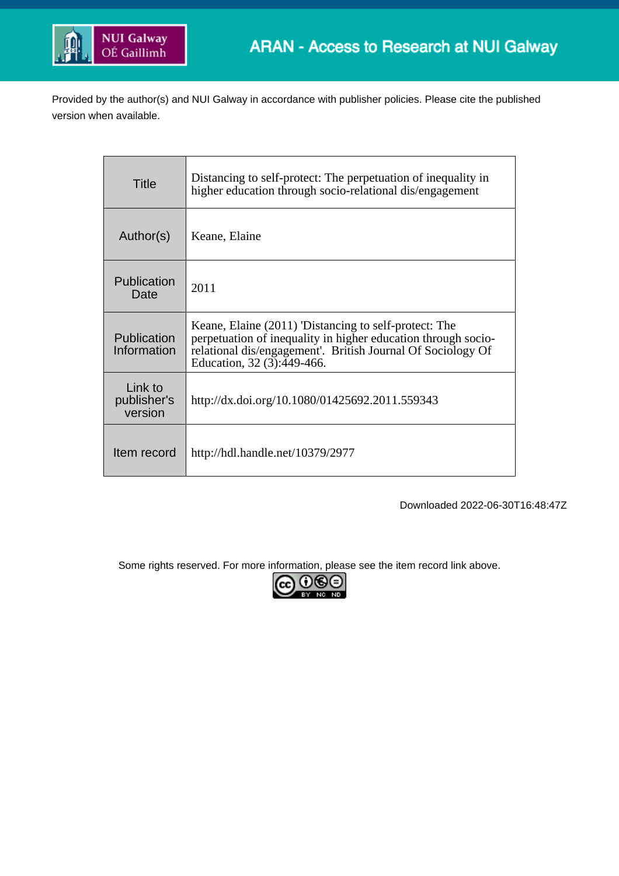

Provided by the author(s) and NUI Galway in accordance with publisher policies. Please cite the published version when available.

| Title                             | Distancing to self-protect: The perpetuation of inequality in<br>higher education through socio-relational dis/engagement                                                                                           |
|-----------------------------------|---------------------------------------------------------------------------------------------------------------------------------------------------------------------------------------------------------------------|
| Author(s)                         | Keane, Elaine                                                                                                                                                                                                       |
| Publication<br>Date               | 2011                                                                                                                                                                                                                |
| Publication<br>Information        | Keane, Elaine (2011) 'Distancing to self-protect: The<br>perpetuation of inequality in higher education through socio-<br>relational dis/engagement'. British Journal Of Sociology Of<br>Education, 32 (3):449-466. |
| Link to<br>publisher's<br>version | http://dx.doi.org/10.1080/01425692.2011.559343                                                                                                                                                                      |
| Item record                       | http://hdl.handle.net/10379/2977                                                                                                                                                                                    |

Downloaded 2022-06-30T16:48:47Z

Some rights reserved. For more information, please see the item record link above.

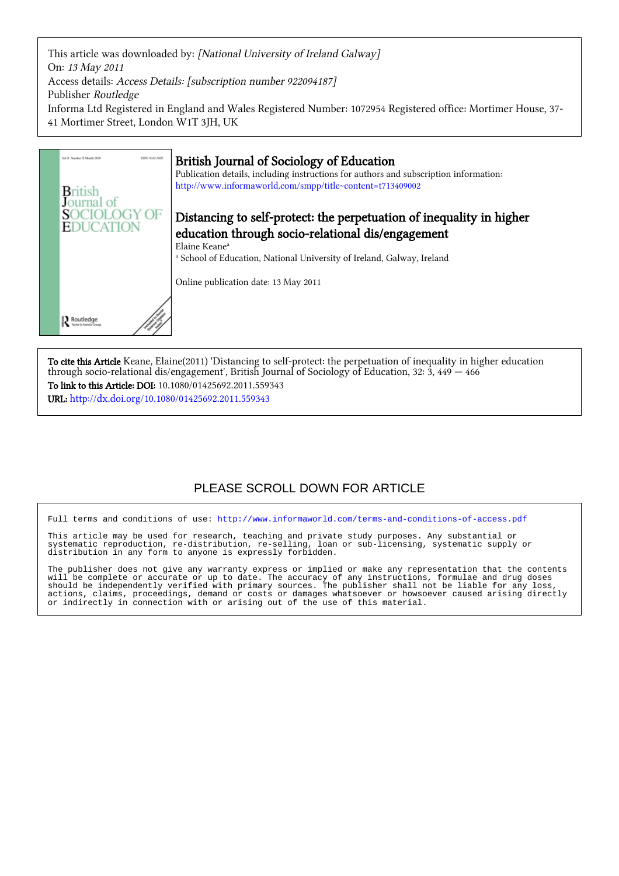This article was downloaded by: [National University of Ireland Galway] On: 13 May 2011 Access details: Access Details: [subscription number 922094187] Publisher Routledge Informa Ltd Registered in England and Wales Registered Number: 1072954 Registered office: Mortimer House, 37- 41 Mortimer Street, London W1T 3JH, UK



To cite this Article Keane, Elaine(2011) 'Distancing to self-protect: the perpetuation of inequality in higher education through socio-relational dis/engagement', British Journal of Sociology of Education, 32: 3, 449 — 466 To link to this Article: DOI: 10.1080/01425692.2011.559343 URL: <http://dx.doi.org/10.1080/01425692.2011.559343>

# PLEASE SCROLL DOWN FOR ARTICLE

Full terms and conditions of use:<http://www.informaworld.com/terms-and-conditions-of-access.pdf>

This article may be used for research, teaching and private study purposes. Any substantial or systematic reproduction, re-distribution, re-selling, loan or sub-licensing, systematic supply or distribution in any form to anyone is expressly forbidden.

The publisher does not give any warranty express or implied or make any representation that the contents will be complete or accurate or up to date. The accuracy of any instructions, formulae and drug doses should be independently verified with primary sources. The publisher shall not be liable for any loss, actions, claims, proceedings, demand or costs or damages whatsoever or howsoever caused arising directly or indirectly in connection with or arising out of the use of this material.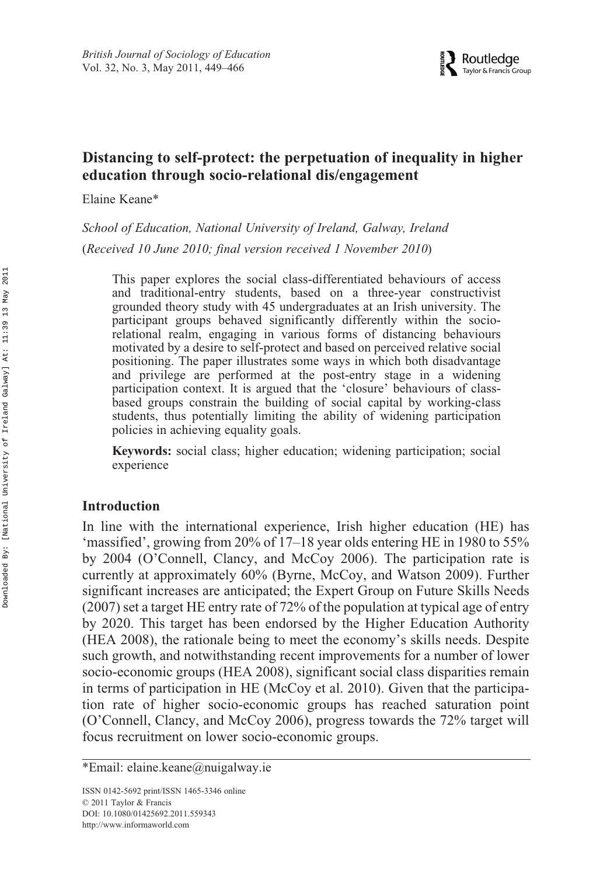## **Distancing to self-protect: the perpetuation of inequality in higher education through socio-relational dis/engagement**

Elaine Keane\*

*School of Education, National University of Ireland, Galway, Ireland* (*Received 10 June 2010; final version received 1 November 2010*)

This paper explores the social class-differentiated behaviours of access and traditional-entry students, based on a three-year constructivist grounded theory study with 45 undergraduates at an Irish university. The participant groups behaved significantly differently within the sociorelational realm, engaging in various forms of distancing behaviours motivated by a desire to self-protect and based on perceived relative social positioning. The paper illustrates some ways in which both disadvantage and privilege are performed at the post-entry stage in a widening participation context. It is argued that the 'closure' behaviours of classbased groups constrain the building of social capital by working-class students, thus potentially limiting the ability of widening participation policies in achieving equality goals.

**Keywords:** social class; higher education; widening participation; social experience

## **Introduction**

In line with the international experience, Irish higher education (HE) has 'massified', growing from 20% of 17–18 year olds entering HE in 1980 to 55% by 2004 (O'Connell, Clancy, and McCoy 2006). The participation rate is currently at approximately 60% (Byrne, McCoy, and Watson 2009). Further significant increases are anticipated; the Expert Group on Future Skills Needs (2007) set a target HE entry rate of 72% of the population at typical age of entry by 2020. This target has been endorsed by the Higher Education Authority (HEA 2008), the rationale being to meet the economy's skills needs. Despite such growth, and notwithstanding recent improvements for a number of lower socio-economic groups (HEA 2008), significant social class disparities remain in terms of participation in HE (McCoy et al. 2010). Given that the participation rate of higher socio-economic groups has reached saturation point (O'Connell, Clancy, and McCoy 2006), progress towards the 72% target will focus recruitment on lower socio-economic groups.

ISSN 0142-5692 print/ISSN 1465-3346 online © 2011 Taylor & Francis DOI: 10.1080/01425692.2011.559343 http://www.informaworld.com

<sup>\*</sup>Email: elaine.keane@nuigalway.ie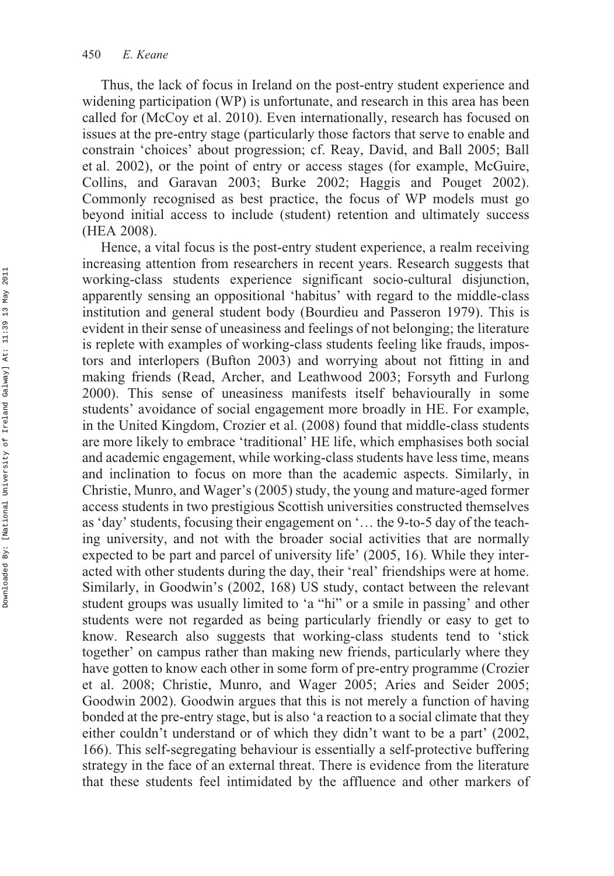Thus, the lack of focus in Ireland on the post-entry student experience and widening participation (WP) is unfortunate, and research in this area has been called for (McCoy et al. 2010). Even internationally, research has focused on issues at the pre-entry stage (particularly those factors that serve to enable and constrain 'choices' about progression; cf. Reay, David, and Ball 2005; Ball et al. 2002), or the point of entry or access stages (for example, McGuire, Collins, and Garavan 2003; Burke 2002; Haggis and Pouget 2002). Commonly recognised as best practice, the focus of WP models must go beyond initial access to include (student) retention and ultimately success (HEA 2008).

Hence, a vital focus is the post-entry student experience, a realm receiving increasing attention from researchers in recent years. Research suggests that working-class students experience significant socio-cultural disjunction, apparently sensing an oppositional 'habitus' with regard to the middle-class institution and general student body (Bourdieu and Passeron 1979). This is evident in their sense of uneasiness and feelings of not belonging; the literature is replete with examples of working-class students feeling like frauds, impostors and interlopers (Bufton 2003) and worrying about not fitting in and making friends (Read, Archer, and Leathwood 2003; Forsyth and Furlong 2000). This sense of uneasiness manifests itself behaviourally in some students' avoidance of social engagement more broadly in HE. For example, in the United Kingdom, Crozier et al. (2008) found that middle-class students are more likely to embrace 'traditional' HE life, which emphasises both social and academic engagement, while working-class students have less time, means and inclination to focus on more than the academic aspects. Similarly, in Christie, Munro, and Wager's (2005) study, the young and mature-aged former access students in two prestigious Scottish universities constructed themselves as 'day' students, focusing their engagement on '… the 9-to-5 day of the teaching university, and not with the broader social activities that are normally expected to be part and parcel of university life' (2005, 16). While they interacted with other students during the day, their 'real' friendships were at home. Similarly, in Goodwin's (2002, 168) US study, contact between the relevant student groups was usually limited to 'a "hi" or a smile in passing' and other students were not regarded as being particularly friendly or easy to get to know. Research also suggests that working-class students tend to 'stick together' on campus rather than making new friends, particularly where they have gotten to know each other in some form of pre-entry programme (Crozier et al. 2008; Christie, Munro, and Wager 2005; Aries and Seider 2005; Goodwin 2002). Goodwin argues that this is not merely a function of having bonded at the pre-entry stage, but is also 'a reaction to a social climate that they either couldn't understand or of which they didn't want to be a part' (2002, 166). This self-segregating behaviour is essentially a self-protective buffering strategy in the face of an external threat. There is evidence from the literature that these students feel intimidated by the affluence and other markers of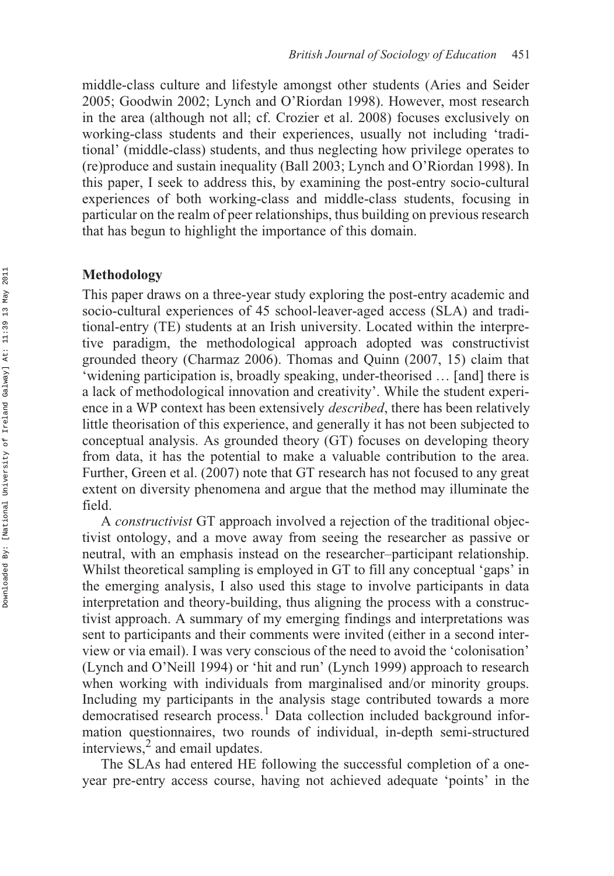middle-class culture and lifestyle amongst other students (Aries and Seider 2005; Goodwin 2002; Lynch and O'Riordan 1998). However, most research in the area (although not all; cf. Crozier et al. 2008) focuses exclusively on working-class students and their experiences, usually not including 'traditional' (middle-class) students, and thus neglecting how privilege operates to (re)produce and sustain inequality (Ball 2003; Lynch and O'Riordan 1998). In this paper, I seek to address this, by examining the post-entry socio-cultural experiences of both working-class and middle-class students, focusing in particular on the realm of peer relationships, thus building on previous research that has begun to highlight the importance of this domain.

#### **Methodology**

This paper draws on a three-year study exploring the post-entry academic and socio-cultural experiences of 45 school-leaver-aged access (SLA) and traditional-entry (TE) students at an Irish university. Located within the interpretive paradigm, the methodological approach adopted was constructivist grounded theory (Charmaz 2006). Thomas and Quinn (2007, 15) claim that 'widening participation is, broadly speaking, under-theorised … [and] there is a lack of methodological innovation and creativity'. While the student experience in a WP context has been extensively *described*, there has been relatively little theorisation of this experience, and generally it has not been subjected to conceptual analysis. As grounded theory (GT) focuses on developing theory from data, it has the potential to make a valuable contribution to the area. Further, Green et al. (2007) note that GT research has not focused to any great extent on diversity phenomena and argue that the method may illuminate the field.

A *constructivist* GT approach involved a rejection of the traditional objectivist ontology, and a move away from seeing the researcher as passive or neutral, with an emphasis instead on the researcher–participant relationship. Whilst theoretical sampling is employed in GT to fill any conceptual 'gaps' in the emerging analysis, I also used this stage to involve participants in data interpretation and theory-building, thus aligning the process with a constructivist approach. A summary of my emerging findings and interpretations was sent to participants and their comments were invited (either in a second interview or via email). I was very conscious of the need to avoid the 'colonisation' (Lynch and O'Neill 1994) or 'hit and run' (Lynch 1999) approach to research when working with individuals from marginalised and/or minority groups. Including my participants in the analysis stage contributed towards a more democratised research process.<sup>1</sup> Data collection included background information questionnaires, two rounds of individual, in-depth semi-structured interviews, $<sup>2</sup>$  and email updates.</sup>

The SLAs had entered HE following the successful completion of a oneyear pre-entry access course, having not achieved adequate 'points' in the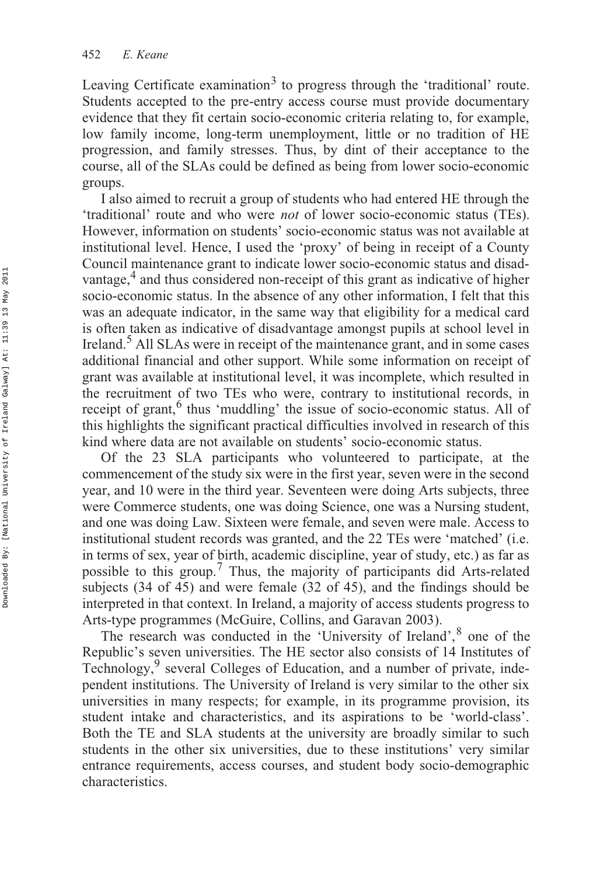Leaving Certificate examination<sup>3</sup> to progress through the 'traditional' route. Students accepted to the pre-entry access course must provide documentary evidence that they fit certain socio-economic criteria relating to, for example, low family income, long-term unemployment, little or no tradition of HE progression, and family stresses. Thus, by dint of their acceptance to the course, all of the SLAs could be defined as being from lower socio-economic groups.

I also aimed to recruit a group of students who had entered HE through the 'traditional' route and who were *not* of lower socio-economic status (TEs). However, information on students' socio-economic status was not available at institutional level. Hence, I used the 'proxy' of being in receipt of a County Council maintenance grant to indicate lower socio-economic status and disadvantage,<sup>4</sup> and thus considered non-receipt of this grant as indicative of higher socio-economic status. In the absence of any other information, I felt that this was an adequate indicator, in the same way that eligibility for a medical card is often taken as indicative of disadvantage amongst pupils at school level in Ireland.<sup>5</sup> All SLAs were in receipt of the maintenance grant, and in some cases additional financial and other support. While some information on receipt of grant was available at institutional level, it was incomplete, which resulted in the recruitment of two TEs who were, contrary to institutional records, in receipt of grant,<sup>6</sup> thus 'muddling' the issue of socio-economic status. All of this highlights the significant practical difficulties involved in research of this kind where data are not available on students' socio-economic status.

Of the 23 SLA participants who volunteered to participate, at the commencement of the study six were in the first year, seven were in the second year, and 10 were in the third year. Seventeen were doing Arts subjects, three were Commerce students, one was doing Science, one was a Nursing student, and one was doing Law. Sixteen were female, and seven were male. Access to institutional student records was granted, and the 22 TEs were 'matched' (i.e. in terms of sex, year of birth, academic discipline, year of study, etc.) as far as possible to this group.<sup>7</sup> Thus, the majority of participants did Arts-related subjects (34 of 45) and were female (32 of 45), and the findings should be interpreted in that context. In Ireland, a majority of access students progress to Arts-type programmes (McGuire, Collins, and Garavan 2003).

The research was conducted in the 'University of Ireland', <sup>8</sup> one of the Republic's seven universities. The HE sector also consists of 14 Institutes of Technology,<sup>9</sup> several Colleges of Education, and a number of private, independent institutions. The University of Ireland is very similar to the other six universities in many respects; for example, in its programme provision, its student intake and characteristics, and its aspirations to be 'world-class'. Both the TE and SLA students at the university are broadly similar to such students in the other six universities, due to these institutions' very similar entrance requirements, access courses, and student body socio-demographic characteristics.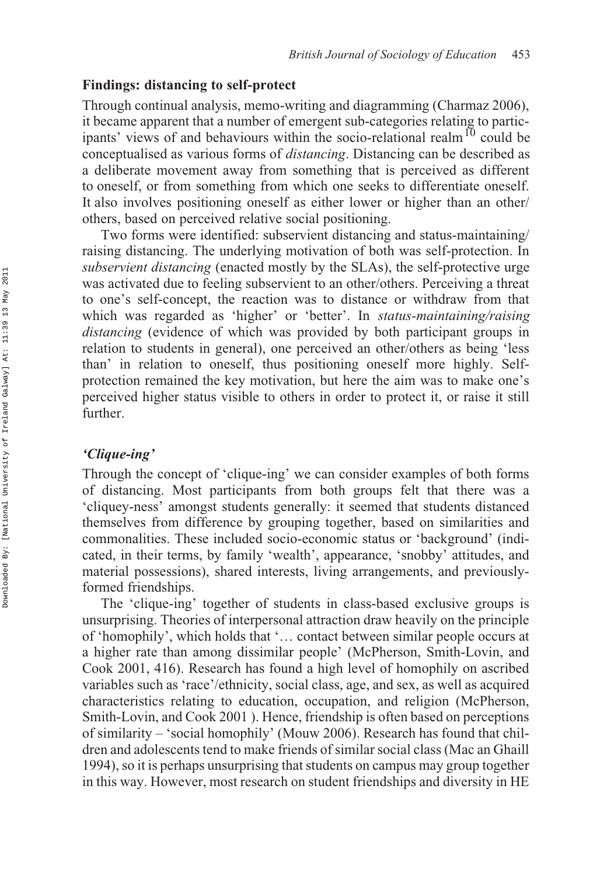#### **Findings: distancing to self-protect**

Through continual analysis, memo-writing and diagramming (Charmaz 2006), it became apparent that a number of emergent sub-categories relating to participants' views of and behaviours within the socio-relational realm<sup>10</sup> could be conceptualised as various forms of *distancing*. Distancing can be described as a deliberate movement away from something that is perceived as different to oneself, or from something from which one seeks to differentiate oneself. It also involves positioning oneself as either lower or higher than an other/ others, based on perceived relative social positioning.

Two forms were identified: subservient distancing and status-maintaining/ raising distancing. The underlying motivation of both was self-protection. In *subservient distancing* (enacted mostly by the SLAs), the self-protective urge was activated due to feeling subservient to an other/others. Perceiving a threat to one's self-concept, the reaction was to distance or withdraw from that which was regarded as 'higher' or 'better'. In *status-maintaining/raising distancing* (evidence of which was provided by both participant groups in relation to students in general), one perceived an other/others as being 'less than' in relation to oneself, thus positioning oneself more highly. Selfprotection remained the key motivation, but here the aim was to make one's perceived higher status visible to others in order to protect it, or raise it still further.

#### *'Clique-ing'*

Through the concept of 'clique-ing' we can consider examples of both forms of distancing. Most participants from both groups felt that there was a 'cliquey-ness' amongst students generally: it seemed that students distanced themselves from difference by grouping together, based on similarities and commonalities. These included socio-economic status or 'background' (indicated, in their terms, by family 'wealth', appearance, 'snobby' attitudes, and material possessions), shared interests, living arrangements, and previouslyformed friendships.

The 'clique-ing' together of students in class-based exclusive groups is unsurprising. Theories of interpersonal attraction draw heavily on the principle of 'homophily', which holds that '… contact between similar people occurs at a higher rate than among dissimilar people' (McPherson, Smith-Lovin, and Cook 2001, 416). Research has found a high level of homophily on ascribed variables such as 'race'/ethnicity, social class, age, and sex, as well as acquired characteristics relating to education, occupation, and religion (McPherson, Smith-Lovin, and Cook 2001 ). Hence, friendship is often based on perceptions of similarity – 'social homophily' (Mouw 2006). Research has found that children and adolescents tend to make friends of similar social class (Mac an Ghaill 1994), so it is perhaps unsurprising that students on campus may group together in this way. However, most research on student friendships and diversity in HE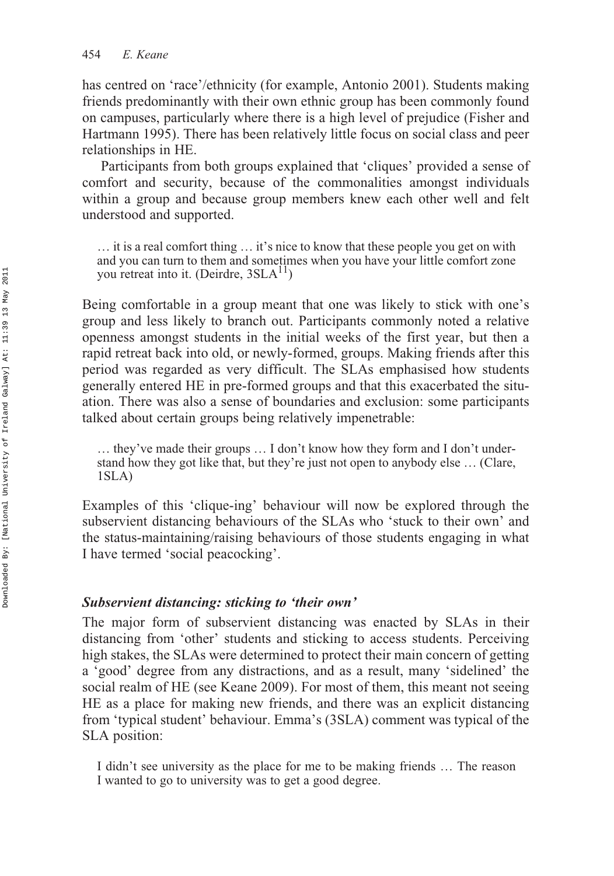has centred on 'race'/ethnicity (for example, Antonio 2001). Students making friends predominantly with their own ethnic group has been commonly found on campuses, particularly where there is a high level of prejudice (Fisher and Hartmann 1995). There has been relatively little focus on social class and peer relationships in HE.

Participants from both groups explained that 'cliques' provided a sense of comfort and security, because of the commonalities amongst individuals within a group and because group members knew each other well and felt understood and supported.

… it is a real comfort thing … it's nice to know that these people you get on with and you can turn to them and sometimes when you have your little comfort zone you retreat into it. (Deirdre,  $3SLA<sup>11</sup>$ )

Being comfortable in a group meant that one was likely to stick with one's group and less likely to branch out. Participants commonly noted a relative openness amongst students in the initial weeks of the first year, but then a rapid retreat back into old, or newly-formed, groups. Making friends after this period was regarded as very difficult. The SLAs emphasised how students generally entered HE in pre-formed groups and that this exacerbated the situation. There was also a sense of boundaries and exclusion: some participants talked about certain groups being relatively impenetrable:

… they've made their groups … I don't know how they form and I don't understand how they got like that, but they're just not open to anybody else … (Clare, 1SLA)

Examples of this 'clique-ing' behaviour will now be explored through the subservient distancing behaviours of the SLAs who 'stuck to their own' and the status-maintaining/raising behaviours of those students engaging in what I have termed 'social peacocking'.

## *Subservient distancing: sticking to 'their own'*

The major form of subservient distancing was enacted by SLAs in their distancing from 'other' students and sticking to access students. Perceiving high stakes, the SLAs were determined to protect their main concern of getting a 'good' degree from any distractions, and as a result, many 'sidelined' the social realm of HE (see Keane 2009). For most of them, this meant not seeing HE as a place for making new friends, and there was an explicit distancing from 'typical student' behaviour. Emma's (3SLA) comment was typical of the SLA position:

I didn't see university as the place for me to be making friends … The reason I wanted to go to university was to get a good degree.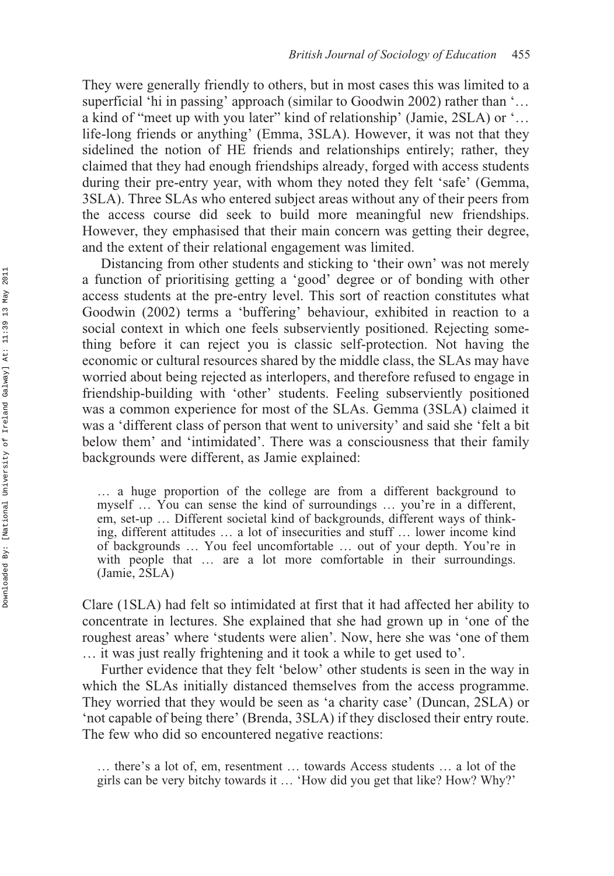They were generally friendly to others, but in most cases this was limited to a superficial 'hi in passing' approach (similar to Goodwin 2002) rather than '… a kind of "meet up with you later" kind of relationship' (Jamie, 2SLA) or '… life-long friends or anything' (Emma, 3SLA). However, it was not that they sidelined the notion of HE friends and relationships entirely; rather, they claimed that they had enough friendships already, forged with access students during their pre-entry year, with whom they noted they felt 'safe' (Gemma, 3SLA). Three SLAs who entered subject areas without any of their peers from the access course did seek to build more meaningful new friendships. However, they emphasised that their main concern was getting their degree, and the extent of their relational engagement was limited.

Distancing from other students and sticking to 'their own' was not merely a function of prioritising getting a 'good' degree or of bonding with other access students at the pre-entry level. This sort of reaction constitutes what Goodwin (2002) terms a 'buffering' behaviour, exhibited in reaction to a social context in which one feels subserviently positioned. Rejecting something before it can reject you is classic self-protection. Not having the economic or cultural resources shared by the middle class, the SLAs may have worried about being rejected as interlopers, and therefore refused to engage in friendship-building with 'other' students. Feeling subserviently positioned was a common experience for most of the SLAs. Gemma (3SLA) claimed it was a 'different class of person that went to university' and said she 'felt a bit below them' and 'intimidated'. There was a consciousness that their family backgrounds were different, as Jamie explained:

… a huge proportion of the college are from a different background to myself ... You can sense the kind of surroundings ... you're in a different, em, set-up … Different societal kind of backgrounds, different ways of thinking, different attitudes … a lot of insecurities and stuff … lower income kind of backgrounds … You feel uncomfortable … out of your depth. You're in with people that ... are a lot more comfortable in their surroundings. (Jamie, 2SLA)

Clare (1SLA) had felt so intimidated at first that it had affected her ability to concentrate in lectures. She explained that she had grown up in 'one of the roughest areas' where 'students were alien'. Now, here she was 'one of them … it was just really frightening and it took a while to get used to'.

Further evidence that they felt 'below' other students is seen in the way in which the SLAs initially distanced themselves from the access programme. They worried that they would be seen as 'a charity case' (Duncan, 2SLA) or 'not capable of being there' (Brenda, 3SLA) if they disclosed their entry route. The few who did so encountered negative reactions:

<sup>…</sup> there's a lot of, em, resentment … towards Access students … a lot of the girls can be very bitchy towards it … 'How did you get that like? How? Why?'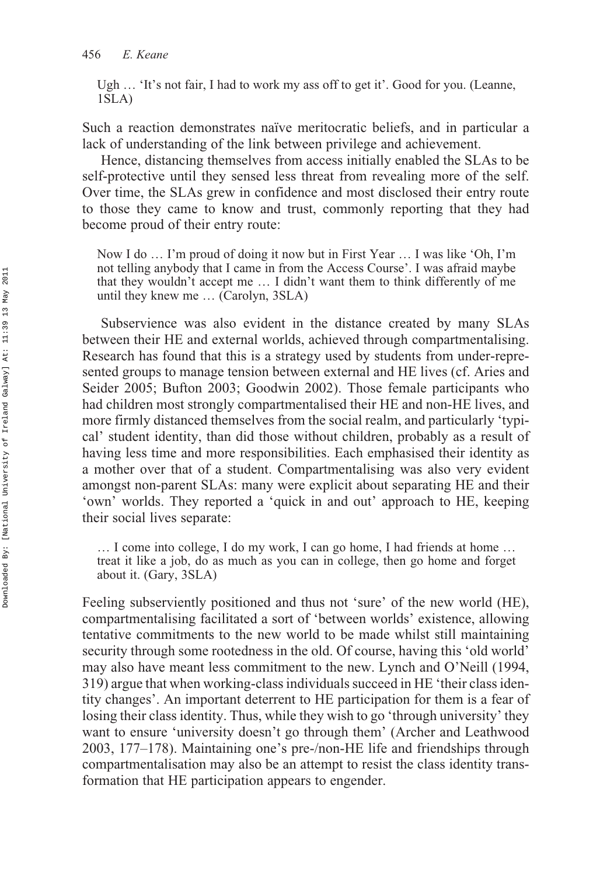Ugh ... 'It's not fair, I had to work my ass off to get it'. Good for you. (Leanne, 1SLA)

Such a reaction demonstrates naïve meritocratic beliefs, and in particular a lack of understanding of the link between privilege and achievement.

Hence, distancing themselves from access initially enabled the SLAs to be self-protective until they sensed less threat from revealing more of the self. Over time, the SLAs grew in confidence and most disclosed their entry route to those they came to know and trust, commonly reporting that they had become proud of their entry route:

Now I do … I'm proud of doing it now but in First Year … I was like 'Oh, I'm not telling anybody that I came in from the Access Course'. I was afraid maybe that they wouldn't accept me … I didn't want them to think differently of me until they knew me … (Carolyn, 3SLA)

Subservience was also evident in the distance created by many SLAs between their HE and external worlds, achieved through compartmentalising. Research has found that this is a strategy used by students from under-represented groups to manage tension between external and HE lives (cf. Aries and Seider 2005; Bufton 2003; Goodwin 2002). Those female participants who had children most strongly compartmentalised their HE and non-HE lives, and more firmly distanced themselves from the social realm, and particularly 'typical' student identity, than did those without children, probably as a result of having less time and more responsibilities. Each emphasised their identity as a mother over that of a student. Compartmentalising was also very evident amongst non-parent SLAs: many were explicit about separating HE and their 'own' worlds. They reported a 'quick in and out' approach to HE, keeping their social lives separate:

… I come into college, I do my work, I can go home, I had friends at home … treat it like a job, do as much as you can in college, then go home and forget about it. (Gary, 3SLA)

Feeling subserviently positioned and thus not 'sure' of the new world (HE), compartmentalising facilitated a sort of 'between worlds' existence, allowing tentative commitments to the new world to be made whilst still maintaining security through some rootedness in the old. Of course, having this 'old world' may also have meant less commitment to the new. Lynch and O'Neill (1994, 319) argue that when working-class individuals succeed in HE 'their class identity changes'. An important deterrent to HE participation for them is a fear of losing their class identity. Thus, while they wish to go 'through university' they want to ensure 'university doesn't go through them' (Archer and Leathwood 2003, 177–178). Maintaining one's pre-/non-HE life and friendships through compartmentalisation may also be an attempt to resist the class identity transformation that HE participation appears to engender.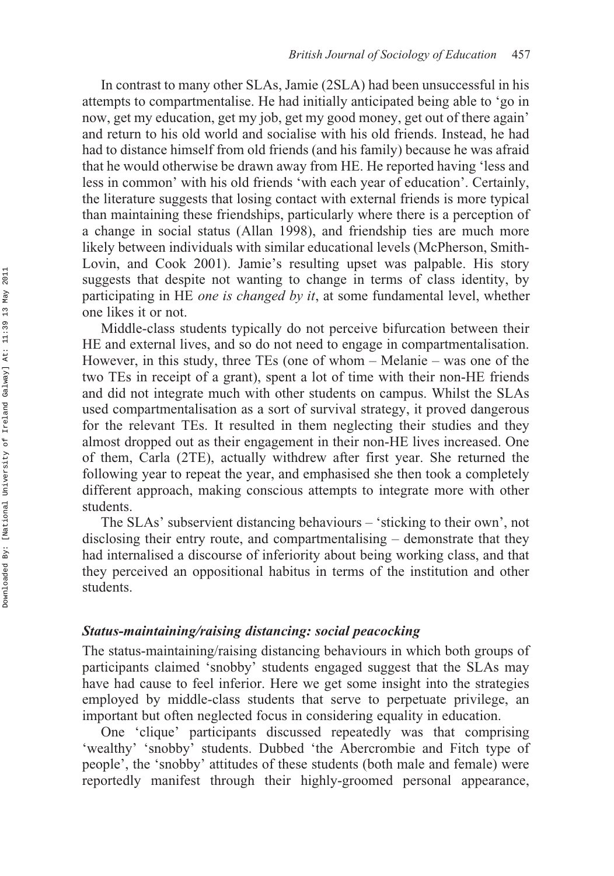In contrast to many other SLAs, Jamie (2SLA) had been unsuccessful in his attempts to compartmentalise. He had initially anticipated being able to 'go in now, get my education, get my job, get my good money, get out of there again' and return to his old world and socialise with his old friends. Instead, he had had to distance himself from old friends (and his family) because he was afraid that he would otherwise be drawn away from HE. He reported having 'less and less in common' with his old friends 'with each year of education'. Certainly, the literature suggests that losing contact with external friends is more typical than maintaining these friendships, particularly where there is a perception of a change in social status (Allan 1998), and friendship ties are much more likely between individuals with similar educational levels (McPherson, Smith-Lovin, and Cook 2001). Jamie's resulting upset was palpable. His story suggests that despite not wanting to change in terms of class identity, by participating in HE *one is changed by it*, at some fundamental level, whether one likes it or not.

Middle-class students typically do not perceive bifurcation between their HE and external lives, and so do not need to engage in compartmentalisation. However, in this study, three TEs (one of whom – Melanie – was one of the two TEs in receipt of a grant), spent a lot of time with their non-HE friends and did not integrate much with other students on campus. Whilst the SLAs used compartmentalisation as a sort of survival strategy, it proved dangerous for the relevant TEs. It resulted in them neglecting their studies and they almost dropped out as their engagement in their non-HE lives increased. One of them, Carla (2TE), actually withdrew after first year. She returned the following year to repeat the year, and emphasised she then took a completely different approach, making conscious attempts to integrate more with other students.

The SLAs' subservient distancing behaviours – 'sticking to their own', not disclosing their entry route, and compartmentalising – demonstrate that they had internalised a discourse of inferiority about being working class, and that they perceived an oppositional habitus in terms of the institution and other students.

#### *Status-maintaining/raising distancing: social peacocking*

The status-maintaining/raising distancing behaviours in which both groups of participants claimed 'snobby' students engaged suggest that the SLAs may have had cause to feel inferior. Here we get some insight into the strategies employed by middle-class students that serve to perpetuate privilege, an important but often neglected focus in considering equality in education.

One 'clique' participants discussed repeatedly was that comprising 'wealthy' 'snobby' students. Dubbed 'the Abercrombie and Fitch type of people', the 'snobby' attitudes of these students (both male and female) were reportedly manifest through their highly-groomed personal appearance,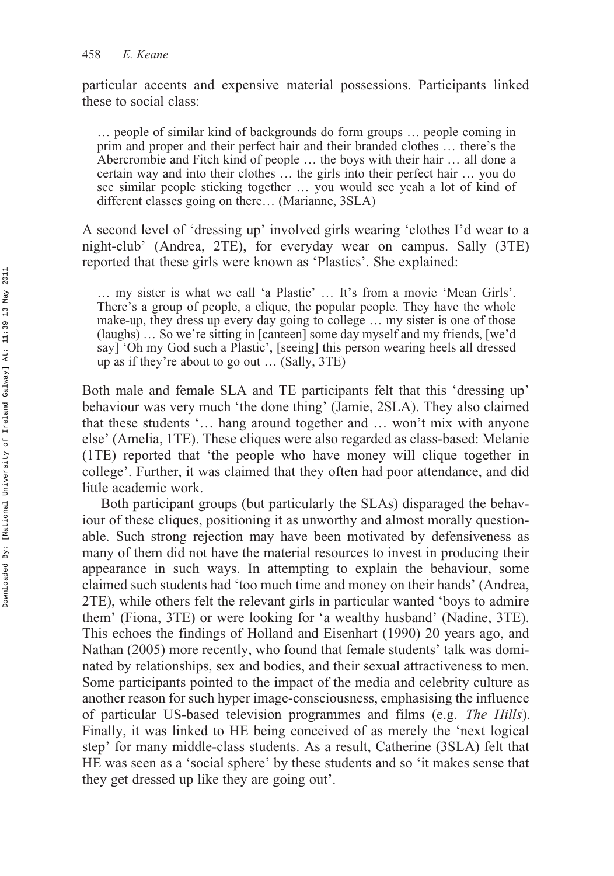particular accents and expensive material possessions. Participants linked these to social class:

… people of similar kind of backgrounds do form groups … people coming in prim and proper and their perfect hair and their branded clothes … there's the Abercrombie and Fitch kind of people … the boys with their hair … all done a certain way and into their clothes … the girls into their perfect hair … you do see similar people sticking together … you would see yeah a lot of kind of different classes going on there… (Marianne, 3SLA)

A second level of 'dressing up' involved girls wearing 'clothes I'd wear to a night-club' (Andrea, 2TE), for everyday wear on campus. Sally (3TE) reported that these girls were known as 'Plastics'. She explained:

… my sister is what we call 'a Plastic' … It's from a movie 'Mean Girls'. There's a group of people, a clique, the popular people. They have the whole make-up, they dress up every day going to college … my sister is one of those (laughs) … So we're sitting in [canteen] some day myself and my friends, [we'd say] 'Oh my God such a Plastic', [seeing] this person wearing heels all dressed up as if they're about to go out … (Sally, 3TE)

Both male and female SLA and TE participants felt that this 'dressing up' behaviour was very much 'the done thing' (Jamie, 2SLA). They also claimed that these students '… hang around together and … won't mix with anyone else' (Amelia, 1TE). These cliques were also regarded as class-based: Melanie (1TE) reported that 'the people who have money will clique together in college'. Further, it was claimed that they often had poor attendance, and did little academic work.

Both participant groups (but particularly the SLAs) disparaged the behaviour of these cliques, positioning it as unworthy and almost morally questionable. Such strong rejection may have been motivated by defensiveness as many of them did not have the material resources to invest in producing their appearance in such ways. In attempting to explain the behaviour, some claimed such students had 'too much time and money on their hands' (Andrea, 2TE), while others felt the relevant girls in particular wanted 'boys to admire them' (Fiona, 3TE) or were looking for 'a wealthy husband' (Nadine, 3TE). This echoes the findings of Holland and Eisenhart (1990) 20 years ago, and Nathan (2005) more recently, who found that female students' talk was dominated by relationships, sex and bodies, and their sexual attractiveness to men. Some participants pointed to the impact of the media and celebrity culture as another reason for such hyper image-consciousness, emphasising the influence of particular US-based television programmes and films (e.g. *The Hills*). Finally, it was linked to HE being conceived of as merely the 'next logical step' for many middle-class students. As a result, Catherine (3SLA) felt that HE was seen as a 'social sphere' by these students and so 'it makes sense that they get dressed up like they are going out'.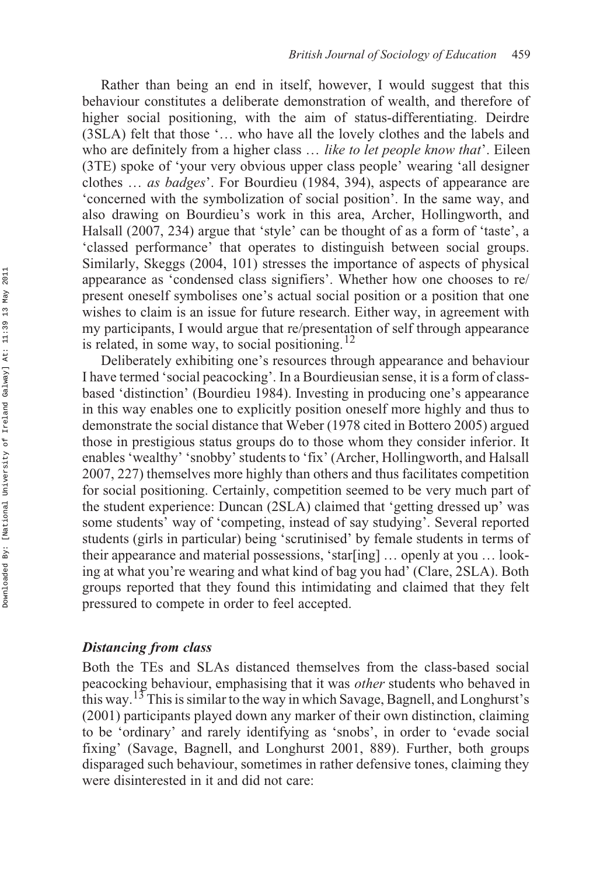Rather than being an end in itself, however, I would suggest that this behaviour constitutes a deliberate demonstration of wealth, and therefore of higher social positioning, with the aim of status-differentiating. Deirdre (3SLA) felt that those '… who have all the lovely clothes and the labels and who are definitely from a higher class … *like to let people know that*'. Eileen (3TE) spoke of 'your very obvious upper class people' wearing 'all designer clothes … *as badges*'. For Bourdieu (1984, 394), aspects of appearance are 'concerned with the symbolization of social position'. In the same way, and also drawing on Bourdieu's work in this area, Archer, Hollingworth, and Halsall (2007, 234) argue that 'style' can be thought of as a form of 'taste', a 'classed performance' that operates to distinguish between social groups. Similarly, Skeggs (2004, 101) stresses the importance of aspects of physical appearance as 'condensed class signifiers'. Whether how one chooses to re/ present oneself symbolises one's actual social position or a position that one wishes to claim is an issue for future research. Either way, in agreement with my participants, I would argue that re/presentation of self through appearance is related, in some way, to social positioning.<sup>12</sup>

Deliberately exhibiting one's resources through appearance and behaviour I have termed 'social peacocking'. In a Bourdieusian sense, it is a form of classbased 'distinction' (Bourdieu 1984). Investing in producing one's appearance in this way enables one to explicitly position oneself more highly and thus to demonstrate the social distance that Weber (1978 cited in Bottero 2005) argued those in prestigious status groups do to those whom they consider inferior. It enables 'wealthy' 'snobby' students to 'fix' (Archer, Hollingworth, and Halsall 2007, 227) themselves more highly than others and thus facilitates competition for social positioning. Certainly, competition seemed to be very much part of the student experience: Duncan (2SLA) claimed that 'getting dressed up' was some students' way of 'competing, instead of say studying'. Several reported students (girls in particular) being 'scrutinised' by female students in terms of their appearance and material possessions, 'star[ing] … openly at you … looking at what you're wearing and what kind of bag you had' (Clare, 2SLA). Both groups reported that they found this intimidating and claimed that they felt pressured to compete in order to feel accepted.

#### *Distancing from class*

Both the TEs and SLAs distanced themselves from the class-based social peacocking behaviour, emphasising that it was *other* students who behaved in this way.<sup>13</sup> This is similar to the way in which Savage, Bagnell, and Longhurst's (2001) participants played down any marker of their own distinction, claiming to be 'ordinary' and rarely identifying as 'snobs', in order to 'evade social fixing' (Savage, Bagnell, and Longhurst 2001, 889). Further, both groups disparaged such behaviour, sometimes in rather defensive tones, claiming they were disinterested in it and did not care: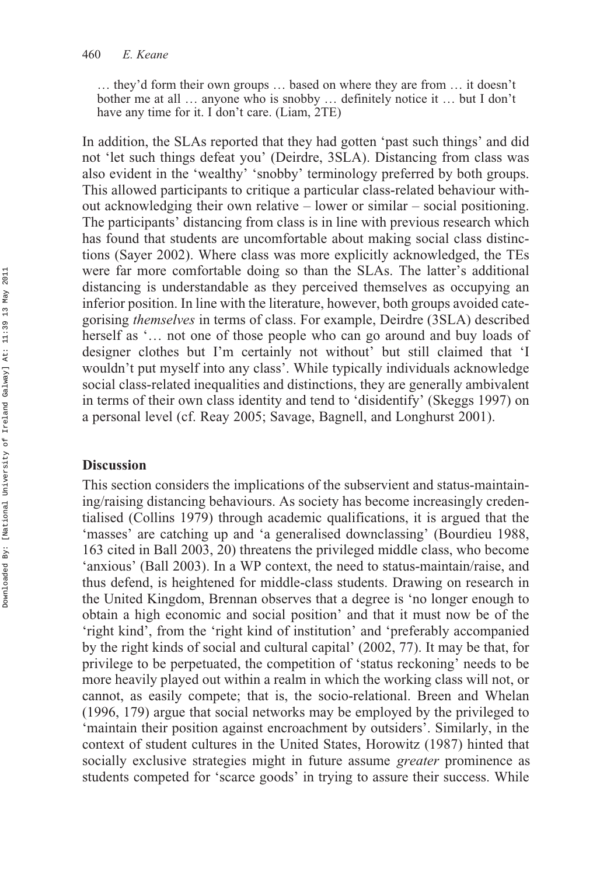… they'd form their own groups … based on where they are from … it doesn't bother me at all … anyone who is snobby … definitely notice it … but I don't have any time for it. I don't care. (Liam, 2TE)

In addition, the SLAs reported that they had gotten 'past such things' and did not 'let such things defeat you' (Deirdre, 3SLA). Distancing from class was also evident in the 'wealthy' 'snobby' terminology preferred by both groups. This allowed participants to critique a particular class-related behaviour without acknowledging their own relative – lower or similar – social positioning. The participants' distancing from class is in line with previous research which has found that students are uncomfortable about making social class distinctions (Sayer 2002). Where class was more explicitly acknowledged, the TEs were far more comfortable doing so than the SLAs. The latter's additional distancing is understandable as they perceived themselves as occupying an inferior position. In line with the literature, however, both groups avoided categorising *themselves* in terms of class. For example, Deirdre (3SLA) described herself as '... not one of those people who can go around and buy loads of designer clothes but I'm certainly not without' but still claimed that 'I wouldn't put myself into any class'. While typically individuals acknowledge social class-related inequalities and distinctions, they are generally ambivalent in terms of their own class identity and tend to 'disidentify' (Skeggs 1997) on a personal level (cf. Reay 2005; Savage, Bagnell, and Longhurst 2001).

#### **Discussion**

This section considers the implications of the subservient and status-maintaining/raising distancing behaviours. As society has become increasingly credentialised (Collins 1979) through academic qualifications, it is argued that the 'masses' are catching up and 'a generalised downclassing' (Bourdieu 1988, 163 cited in Ball 2003, 20) threatens the privileged middle class, who become 'anxious' (Ball 2003). In a WP context, the need to status-maintain/raise, and thus defend, is heightened for middle-class students. Drawing on research in the United Kingdom, Brennan observes that a degree is 'no longer enough to obtain a high economic and social position' and that it must now be of the 'right kind', from the 'right kind of institution' and 'preferably accompanied by the right kinds of social and cultural capital' (2002, 77). It may be that, for privilege to be perpetuated, the competition of 'status reckoning' needs to be more heavily played out within a realm in which the working class will not, or cannot, as easily compete; that is, the socio-relational. Breen and Whelan (1996, 179) argue that social networks may be employed by the privileged to 'maintain their position against encroachment by outsiders'. Similarly, in the context of student cultures in the United States, Horowitz (1987) hinted that socially exclusive strategies might in future assume *greater* prominence as students competed for 'scarce goods' in trying to assure their success. While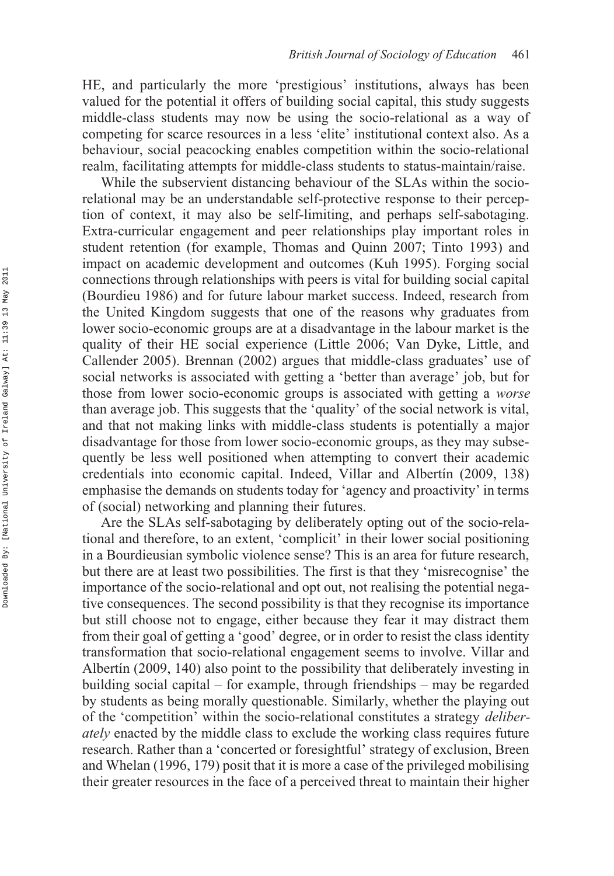HE, and particularly the more 'prestigious' institutions, always has been valued for the potential it offers of building social capital, this study suggests middle-class students may now be using the socio-relational as a way of competing for scarce resources in a less 'elite' institutional context also. As a behaviour, social peacocking enables competition within the socio-relational realm, facilitating attempts for middle-class students to status-maintain/raise.

While the subservient distancing behaviour of the SLAs within the sociorelational may be an understandable self-protective response to their perception of context, it may also be self-limiting, and perhaps self-sabotaging. Extra-curricular engagement and peer relationships play important roles in student retention (for example, Thomas and Quinn 2007; Tinto 1993) and impact on academic development and outcomes (Kuh 1995). Forging social connections through relationships with peers is vital for building social capital (Bourdieu 1986) and for future labour market success. Indeed, research from the United Kingdom suggests that one of the reasons why graduates from lower socio-economic groups are at a disadvantage in the labour market is the quality of their HE social experience (Little 2006; Van Dyke, Little, and Callender 2005). Brennan (2002) argues that middle-class graduates' use of social networks is associated with getting a 'better than average' job, but for those from lower socio-economic groups is associated with getting a *worse* than average job. This suggests that the 'quality' of the social network is vital, and that not making links with middle-class students is potentially a major disadvantage for those from lower socio-economic groups, as they may subsequently be less well positioned when attempting to convert their academic credentials into economic capital. Indeed, Villar and Albertín (2009, 138) emphasise the demands on students today for 'agency and proactivity' in terms of (social) networking and planning their futures.

Are the SLAs self-sabotaging by deliberately opting out of the socio-relational and therefore, to an extent, 'complicit' in their lower social positioning in a Bourdieusian symbolic violence sense? This is an area for future research, but there are at least two possibilities. The first is that they 'misrecognise' the importance of the socio-relational and opt out, not realising the potential negative consequences. The second possibility is that they recognise its importance but still choose not to engage, either because they fear it may distract them from their goal of getting a 'good' degree, or in order to resist the class identity transformation that socio-relational engagement seems to involve. Villar and Albertín (2009, 140) also point to the possibility that deliberately investing in building social capital – for example, through friendships – may be regarded by students as being morally questionable. Similarly, whether the playing out of the 'competition' within the socio-relational constitutes a strategy *deliberately* enacted by the middle class to exclude the working class requires future research. Rather than a 'concerted or foresightful' strategy of exclusion, Breen and Whelan (1996, 179) posit that it is more a case of the privileged mobilising their greater resources in the face of a perceived threat to maintain their higher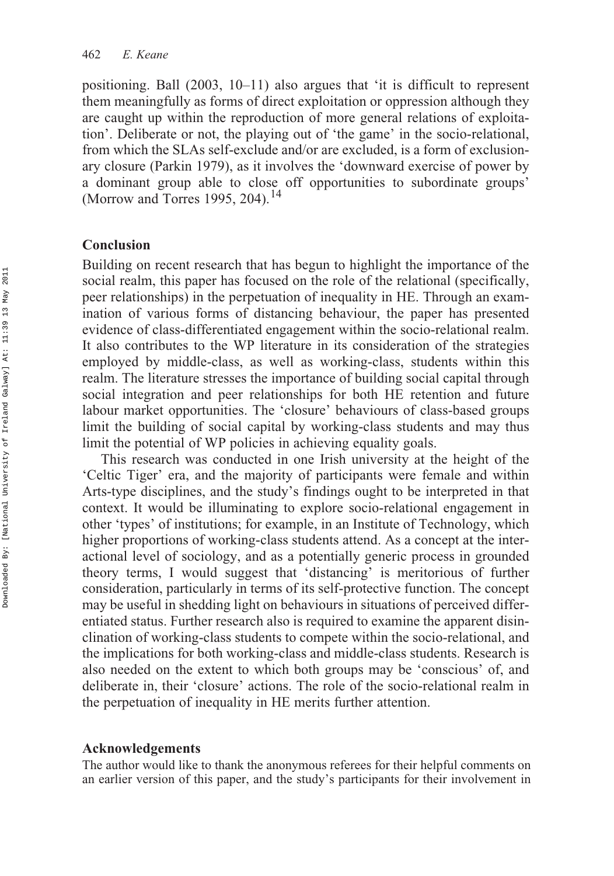positioning. Ball (2003, 10–11) also argues that 'it is difficult to represent them meaningfully as forms of direct exploitation or oppression although they are caught up within the reproduction of more general relations of exploitation'. Deliberate or not, the playing out of 'the game' in the socio-relational, from which the SLAs self-exclude and/or are excluded, is a form of exclusionary closure (Parkin 1979), as it involves the 'downward exercise of power by a dominant group able to close off opportunities to subordinate groups' (Morrow and Torres 1995, 204).<sup>14</sup>

#### **Conclusion**

Building on recent research that has begun to highlight the importance of the social realm, this paper has focused on the role of the relational (specifically, peer relationships) in the perpetuation of inequality in HE. Through an examination of various forms of distancing behaviour, the paper has presented evidence of class-differentiated engagement within the socio-relational realm. It also contributes to the WP literature in its consideration of the strategies employed by middle-class, as well as working-class, students within this realm. The literature stresses the importance of building social capital through social integration and peer relationships for both HE retention and future labour market opportunities. The 'closure' behaviours of class-based groups limit the building of social capital by working-class students and may thus limit the potential of WP policies in achieving equality goals.

This research was conducted in one Irish university at the height of the 'Celtic Tiger' era, and the majority of participants were female and within Arts-type disciplines, and the study's findings ought to be interpreted in that context. It would be illuminating to explore socio-relational engagement in other 'types' of institutions; for example, in an Institute of Technology, which higher proportions of working-class students attend. As a concept at the interactional level of sociology, and as a potentially generic process in grounded theory terms, I would suggest that 'distancing' is meritorious of further consideration, particularly in terms of its self-protective function. The concept may be useful in shedding light on behaviours in situations of perceived differentiated status. Further research also is required to examine the apparent disinclination of working-class students to compete within the socio-relational, and the implications for both working-class and middle-class students. Research is also needed on the extent to which both groups may be 'conscious' of, and deliberate in, their 'closure' actions. The role of the socio-relational realm in the perpetuation of inequality in HE merits further attention.

#### **Acknowledgements**

The author would like to thank the anonymous referees for their helpful comments on an earlier version of this paper, and the study's participants for their involvement in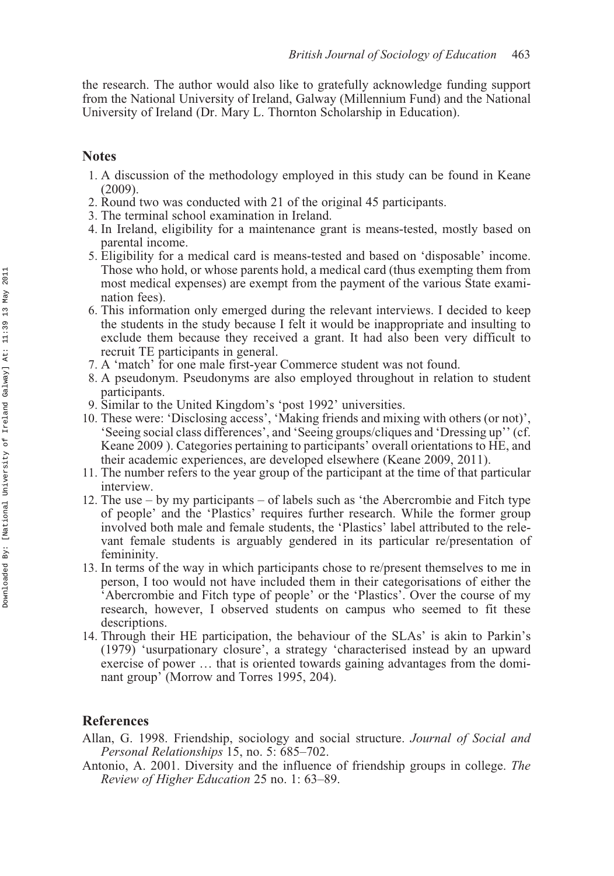the research. The author would also like to gratefully acknowledge funding support from the National University of Ireland, Galway (Millennium Fund) and the National University of Ireland (Dr. Mary L. Thornton Scholarship in Education).

#### **Notes**

- 1. A discussion of the methodology employed in this study can be found in Keane (2009).
- 2. Round two was conducted with 21 of the original 45 participants.
- 3. The terminal school examination in Ireland.
- 4. In Ireland, eligibility for a maintenance grant is means-tested, mostly based on parental income.
- 5. Eligibility for a medical card is means-tested and based on 'disposable' income. Those who hold, or whose parents hold, a medical card (thus exempting them from most medical expenses) are exempt from the payment of the various State examination fees).
- 6. This information only emerged during the relevant interviews. I decided to keep the students in the study because I felt it would be inappropriate and insulting to exclude them because they received a grant. It had also been very difficult to recruit TE participants in general.
- 7. A 'match' for one male first-year Commerce student was not found.
- 8. A pseudonym. Pseudonyms are also employed throughout in relation to student participants.
- 9. Similar to the United Kingdom's 'post 1992' universities.
- 10. These were: 'Disclosing access', 'Making friends and mixing with others (or not)', 'Seeing social class differences', and 'Seeing groups/cliques and 'Dressing up'' (cf. Keane 2009 ). Categories pertaining to participants' overall orientations to HE, and their academic experiences, are developed elsewhere (Keane 2009, 2011).
- 11. The number refers to the year group of the participant at the time of that particular interview.
- 12. The use by my participants of labels such as 'the Abercrombie and Fitch type of people' and the 'Plastics' requires further research. While the former group involved both male and female students, the 'Plastics' label attributed to the relevant female students is arguably gendered in its particular re/presentation of femininity.
- 13. In terms of the way in which participants chose to re/present themselves to me in person, I too would not have included them in their categorisations of either the 'Abercrombie and Fitch type of people' or the 'Plastics'. Over the course of my research, however, I observed students on campus who seemed to fit these descriptions.
- 14. Through their HE participation, the behaviour of the SLAs' is akin to Parkin's (1979) 'usurpationary closure', a strategy 'characterised instead by an upward exercise of power … that is oriented towards gaining advantages from the dominant group' (Morrow and Torres 1995, 204).

#### **References**

Allan, G. 1998. Friendship, sociology and social structure. *Journal of Social and Personal Relationships* 15, no. 5: 685–702.

Antonio, A. 2001. Diversity and the influence of friendship groups in college. *The Review of Higher Education* 25 no. 1: 63–89.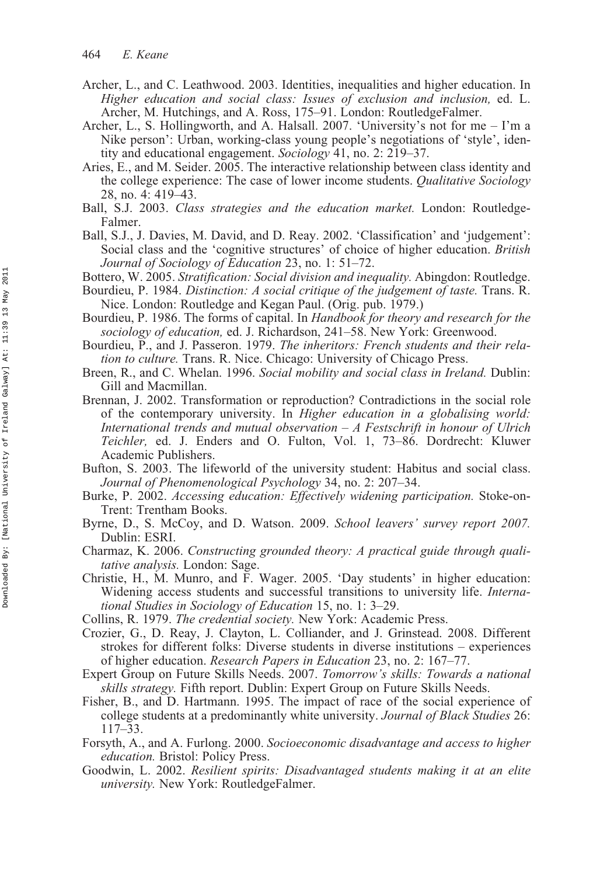- Archer, L., and C. Leathwood. 2003. Identities, inequalities and higher education. In *Higher education and social class: Issues of exclusion and inclusion,* ed. L. Archer, M. Hutchings, and A. Ross, 175–91. London: RoutledgeFalmer.
- Archer, L., S. Hollingworth, and A. Halsall. 2007. 'University's not for me I'm a Nike person': Urban, working-class young people's negotiations of 'style', identity and educational engagement. *Sociology* 41, no. 2: 219–37.
- Aries, E., and M. Seider. 2005. The interactive relationship between class identity and the college experience: The case of lower income students. *Qualitative Sociology* 28, no. 4: 419–43.
- Ball, S.J. 2003. *Class strategies and the education market.* London: Routledge-Falmer.
- Ball, S.J., J. Davies, M. David, and D. Reay. 2002. 'Classification' and 'judgement': Social class and the 'cognitive structures' of choice of higher education. *British Journal of Sociology of Education* 23, no. 1: 51–72.
- Bottero, W. 2005. *Stratification: Social division and inequality.* Abingdon: Routledge.
- Bourdieu, P. 1984. *Distinction: A social critique of the judgement of taste.* Trans. R. Nice. London: Routledge and Kegan Paul. (Orig. pub. 1979.)
- Bourdieu, P. 1986. The forms of capital. In *Handbook for theory and research for the sociology of education,* ed. J. Richardson, 241–58. New York: Greenwood.
- Bourdieu, P., and J. Passeron. 1979. *The inheritors: French students and their relation to culture.* Trans. R. Nice. Chicago: University of Chicago Press.
- Breen, R., and C. Whelan. 1996. *Social mobility and social class in Ireland.* Dublin: Gill and Macmillan.
- Brennan, J. 2002. Transformation or reproduction? Contradictions in the social role of the contemporary university. In *Higher education in a globalising world: International trends and mutual observation – A Festschrift in honour of Ulrich Teichler,* ed. J. Enders and O. Fulton, Vol. 1, 73–86. Dordrecht: Kluwer Academic Publishers.
- Bufton, S. 2003. The lifeworld of the university student: Habitus and social class. *Journal of Phenomenological Psychology* 34, no. 2: 207–34.
- Burke, P. 2002. *Accessing education: Effectively widening participation.* Stoke-on-Trent: Trentham Books.
- Byrne, D., S. McCoy, and D. Watson. 2009. *School leavers' survey report 2007.* Dublin: ESRI.
- Charmaz, K. 2006. *Constructing grounded theory: A practical guide through qualitative analysis.* London: Sage.
- Christie, H., M. Munro, and F. Wager. 2005. 'Day students' in higher education: Widening access students and successful transitions to university life. *International Studies in Sociology of Education* 15, no. 1: 3–29.
- Collins, R. 1979. *The credential society.* New York: Academic Press.
- Crozier, G., D. Reay, J. Clayton, L. Colliander, and J. Grinstead. 2008. Different strokes for different folks: Diverse students in diverse institutions – experiences of higher education. *Research Papers in Education* 23, no. 2: 167–77.
- Expert Group on Future Skills Needs. 2007. *Tomorrow's skills: Towards a national skills strategy.* Fifth report. Dublin: Expert Group on Future Skills Needs.
- Fisher, B., and D. Hartmann. 1995. The impact of race of the social experience of college students at a predominantly white university. *Journal of Black Studies* 26: 117–33.
- Forsyth, A., and A. Furlong. 2000. *Socioeconomic disadvantage and access to higher education.* Bristol: Policy Press.
- Goodwin, L. 2002. *Resilient spirits: Disadvantaged students making it at an elite university.* New York: RoutledgeFalmer.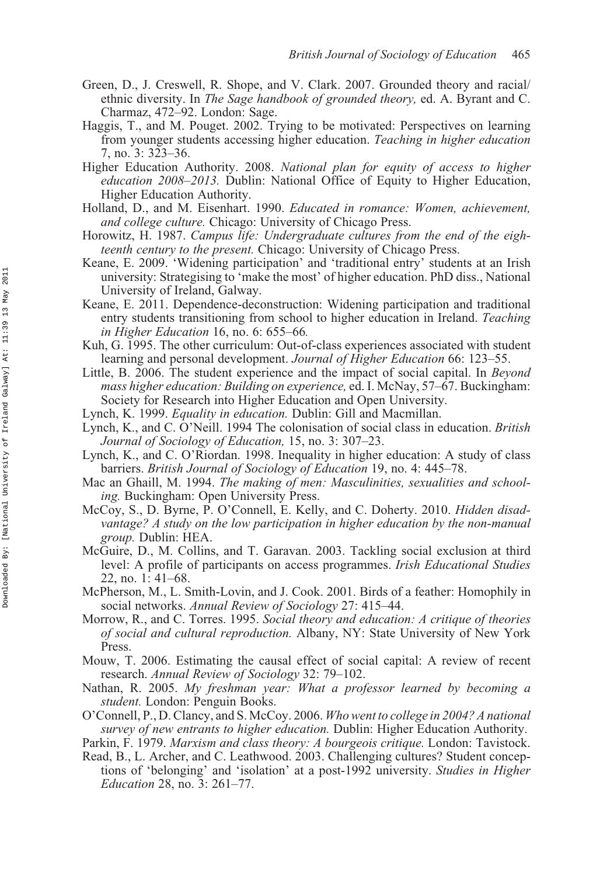- Green, D., J. Creswell, R. Shope, and V. Clark. 2007. Grounded theory and racial/ ethnic diversity. In *The Sage handbook of grounded theory,* ed. A. Byrant and C. Charmaz, 472–92. London: Sage.
- Haggis, T., and M. Pouget. 2002. Trying to be motivated: Perspectives on learning from younger students accessing higher education. *Teaching in higher education* 7, no. 3: 323–36.
- Higher Education Authority. 2008. *National plan for equity of access to higher education 2008–2013.* Dublin: National Office of Equity to Higher Education, Higher Education Authority.
- Holland, D., and M. Eisenhart. 1990. *Educated in romance: Women, achievement, and college culture.* Chicago: University of Chicago Press.
- Horowitz, H. 1987. *Campus life: Undergraduate cultures from the end of the eighteenth century to the present.* Chicago: University of Chicago Press.
- Keane, E. 2009. 'Widening participation' and 'traditional entry' students at an Irish university: Strategising to 'make the most' of higher education. PhD diss., National University of Ireland, Galway.
- Keane, E. 2011. Dependence-deconstruction: Widening participation and traditional entry students transitioning from school to higher education in Ireland. *Teaching in Higher Education* 16, no. 6: 655–66*.*
- Kuh, G. 1995. The other curriculum: Out-of-class experiences associated with student learning and personal development. *Journal of Higher Education* 66: 123–55.
- Little, B. 2006. The student experience and the impact of social capital. In *Beyond mass higher education: Building on experience,* ed. I. McNay, 57–67. Buckingham: Society for Research into Higher Education and Open University.
- Lynch, K. 1999. *Equality in education.* Dublin: Gill and Macmillan.
- Lynch, K., and C. O'Neill. 1994 The colonisation of social class in education. *British Journal of Sociology of Education,* 15, no. 3: 307–23.
- Lynch, K., and C. O'Riordan. 1998. Inequality in higher education: A study of class barriers. *British Journal of Sociology of Education* 19, no. 4: 445–78.
- Mac an Ghaill, M. 1994. *The making of men: Masculinities, sexualities and schooling.* Buckingham: Open University Press.
- McCoy, S., D. Byrne, P. O'Connell, E. Kelly, and C. Doherty. 2010. *Hidden disadvantage? A study on the low participation in higher education by the non-manual group.* Dublin: HEA.
- McGuire, D., M. Collins, and T. Garavan. 2003. Tackling social exclusion at third level: A profile of participants on access programmes. *Irish Educational Studies* 22, no. 1: 41–68.
- McPherson, M., L. Smith-Lovin, and J. Cook. 2001. Birds of a feather: Homophily in social networks. *Annual Review of Sociology* 27: 415–44.
- Morrow, R., and C. Torres. 1995. *Social theory and education: A critique of theories of social and cultural reproduction.* Albany, NY: State University of New York Press.
- Mouw, T. 2006. Estimating the causal effect of social capital: A review of recent research. *Annual Review of Sociology* 32: 79–102.
- Nathan, R. 2005. *My freshman year: What a professor learned by becoming a student.* London: Penguin Books.
- O'Connell, P., D. Clancy, and S. McCoy. 2006. *Who went to college in 2004? A national survey of new entrants to higher education.* Dublin: Higher Education Authority.
- Parkin, F. 1979. *Marxism and class theory: A bourgeois critique.* London: Tavistock.
- Read, B., L. Archer, and C. Leathwood. 2003. Challenging cultures? Student conceptions of 'belonging' and 'isolation' at a post-1992 university. *Studies in Higher Education* 28, no. 3: 261–77.